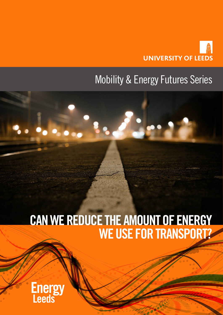

## Mobility & Energy Futures Series

3300

# CAN WE REDUCE THE AMOUNT OF ENERGY WE USE FOR TRANSPORT?

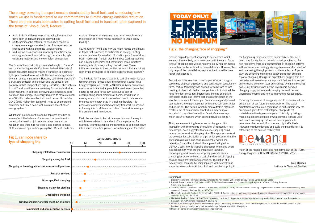- Avoid looks at different ways of reducing how much we travel such as teleworking and telemedicine
- Shift examines the potential to encourage people to choose less energy intensive forms of transport such as cycling and walking and mass transit systems
- Reduce focusses efforts on improving the efficiency of existing modes of transport through, for example, light weighting materials and more efficient combustion.

The focus of transport policy is overwhelmingly on 'reduce' and to a lesser degree 'shift' policies. Indeed, the scale of carbon reduction required means a transition to electric or hydrogen powered transport with the fuel sources generated by clean energy is necessary. However, both the end point of a truly zero emission vehicle fleet and the speed of the pathway to that end point are highly uncertain. Other policies in 'shift' and 'avoid' remain necessary for carbon and wider policy reasons. In addition, achieving zero emissions does not mean zero energy. The energy required to move as much as 400 billion vehicle miles that could be on UK roads by 2040 (55% higher than today) will need to be generated somehow and this is non-trivial in a more decentralised energy system i.

explored the reasons stymying more proactive policies and the creation of a more radical approach to urban policy making ii.

So, we turn to 'Avoid' and how we might reduce the amount of travel that is needed to participate in society. Existing approaches have focussed on information gaps (personalised travel marketing), 'nudge' type incentives (parking cash out and bike loan schemes) and community based initiatives (walking school buses, cycling competitions). These initiatives are seen to have positive impacts iii but are not vet seen by policy makers to be likely to deliver major change iv.

Whilst shift policies continue to be deployed by cities to some effect, the balance of infrastructure investment is currently focussed on job creation rather than carbon reduction and there has yet to be a step change in modeshift stimulated by a carbon prerogative. Work at Leeds has

Second, we have examined travel as part of work through a case study of global engineering and construction consultancy firms. Virtual technology has allowed for some face to face meetings to be conducted on line, yet has not diminished the need for client-consultant interactions. Instead changes in technology shape and inform part of a reorganisation of the way the firms work. For example, from a very regionally based approach to a thematic approach with teams split across sites and countries. The ways in which business itself is organised creates a set of demands for travel which may be more important to pay attention to than face-to-face meetings which occur for reasons which seem difficult to change vi.

The Institute for Transport Studies is part of a major five year research centre funded under the Research Council UK's Energy Programme. The DEMAND Centre (www.demand.ac. uk) takes as its central approach the need to recognise that energy is not used for its own sake but as part of accomplishing social practices at home, at work and in moving around. In order to understand how to intervene in the amount of energy used in travelling therefore it is necessary to understand how and why transport is entwined in the way it is for different activities. The work is looking at this problem in different ways.

First, the work has looked at time use data and the way in which travel relates to in and out of home patterns. For example, this work enabled shopping trips to be broken down into a much more fine grained understanding and for certain

types of cargo dependent shopping to be identified which were much more likely to be associated with the car v. Some kinds of shopping trips will be harder to do by non-car modes unless they can be replaced by home deliveries. However, this only helps if the home delivery replaces the trip to the store rather than adds to it. the burgeoning range of express supermarkets. On-line is used more for regular but occasional bulk purchasing. For non-food items there is a fragmentation of shopping patterns with consumers increasingly visiting stores as a 'shop window' and purchasing through price comparison at home. Trips to town are becoming more social experiences than essential trips for shopping. Changes in expectations suggest that free deliveries and free returns are important features that support an increasing culture of 'over purchasing', trying and sending back. Only by understanding the relationship between changing supply options and changing demand can we understand whether and how to intervene to reduce energy.

Third, we are examining broader social change and its interaction with the systems of provision of transport. It has, intervene to reduce demand and avoid the potential for it to for example, been suggested that on-line shopping could ratchet up as the costs of mobility fall. reduce the demand for shopping trips. This approach looks at the potential for substitution of trips, which presumes that the world remains static and consumers simply switch one behaviour for another. Instead, the approach adopted in DYNAMICS OF ENERGY MOBILITY AND DEMAND DEMAND asks, how is shopping changing? Where and when is it happening? What are the impacts on transport? Much of the research described here forms part of the RCUK Our on-going work on on-line shopping points to on-line Energy Programme DEMAND Centre (EP/K011723/1). shopping for groceries being a part of a wider set of shopping choices which are themselves changing. The notion of a 'weekly shop' seems to be being replaced with several value Greg Marsden shops to stores such as Aldi and Lidl and pass-by shopping in Institute for Transport Studies

Reducing the amount of energy required to move around is a critical part of our future transport policies. The social adaptations which are on-going may, in part, explain why the anticipated gains from technological change do not materialise to the degree anticipated. It is only by taking a more detailed consideration of what demand is made up of and how it is changing that we will be in a position to determine whether and, if so how, we might effectively



#### References

- i Electric Vehicles and Renewable Energy: What are the Key Issues? Mobility and Energy Futures Series, Energy Leeds ii Bache I; Bartle I; Marsden G; Flinders M (2015) Multilevel Governance and Climate Change Insights from Transport Policy, Rowman & Littlefield International
- iii Cairns S; Sloman L; Newson C; Anable J; Kirkbride A; Goodwin P (2008) Smarter choices: Assessing the potential to achieve traffic reduction using 'Soft measures', Transport Reviews, 28, pp.593-618
- iv Marsden G; Mullen C; Bache I; Bartle I; Flinders M (2014) Carbon reduction and travel behaviour: Discourses, disputes and contradictions in governance, Transport Policy, 35, pp.71-78
- v Mattioli G; Anable J; Vrotsou K (2016) Car dependent practices: findings from a sequence pattern mining study of UK time use data. Transportation Research Part A: Policy and Practice, 89. pp. 56-72
- vi Anable J; Faulconbridge J; Jones I; Marsden G (in press) Demanding business travel: time, space and practice In: Allison H; Rosie D; Gordon W (eds) Demanding energy: spaces, temporalities and change. Palgrave Macmillan: Hampshire
- vii Images all have a creative commons license (free delivery)

The energy powering transport remains dominated by fossil fuels and so reducing how much we use is fundamental to our commitments to climate change emission reduction. There are three main approaches to cutting fossil fuel used in transport, often captured in the terms of "Avoid, Shift, Reduce".





### Fig 2. the changing face of shopping vii